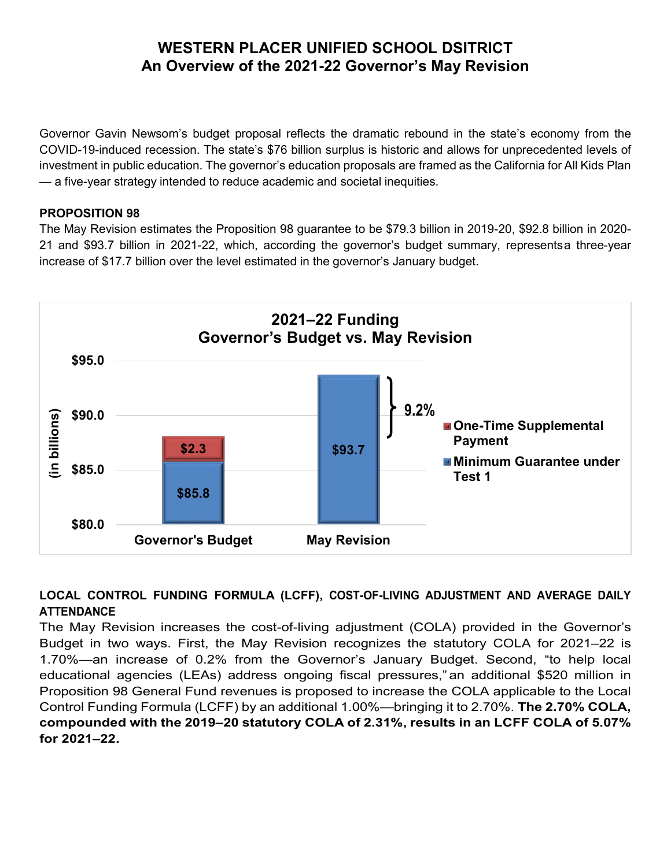Governor Gavin Newsom's budget proposal reflects the dramatic rebound in the state's economy from the COVID-19-induced recession. The state's \$76 billion surplus is historic and allows for unprecedented levels of investment in public education. The governor's education proposals are framed as the California for All Kids Plan — a five-year strategy intended to reduce academic and societal inequities.

#### **PROPOSITION 98**

The May Revision estimates the Proposition 98 guarantee to be \$79.3 billion in 2019-20, \$92.8 billion in 2020- 21 and \$93.7 billion in 2021-22, which, according the governor's budget summary, representsa three-year increase of \$17.7 billion over the level estimated in the governor's January budget.



### **LOCAL CONTROL FUNDING FORMULA (LCFF), COST-OF-LIVING ADJUSTMENT AND AVERAGE DAILY ATTENDANCE**

The May Revision increases the cost-of-living adjustment (COLA) provided in the Governor's Budget in two ways. First, the May Revision recognizes the statutory COLA for 2021–22 is 1.70%—an increase of 0.2% from the Governor's January Budget. Second, "to help local educational agencies (LEAs) address ongoing fiscal pressures," an additional \$520 million in Proposition 98 General Fund revenues is proposed to increase the COLA applicable to the Local Control Funding Formula (LCFF) by an additional 1.00%—bringing it to 2.70%. **The 2.70% COLA, compounded with the 2019–20 statutory COLA of 2.31%, results in an LCFF COLA of 5.07% for 2021–22.**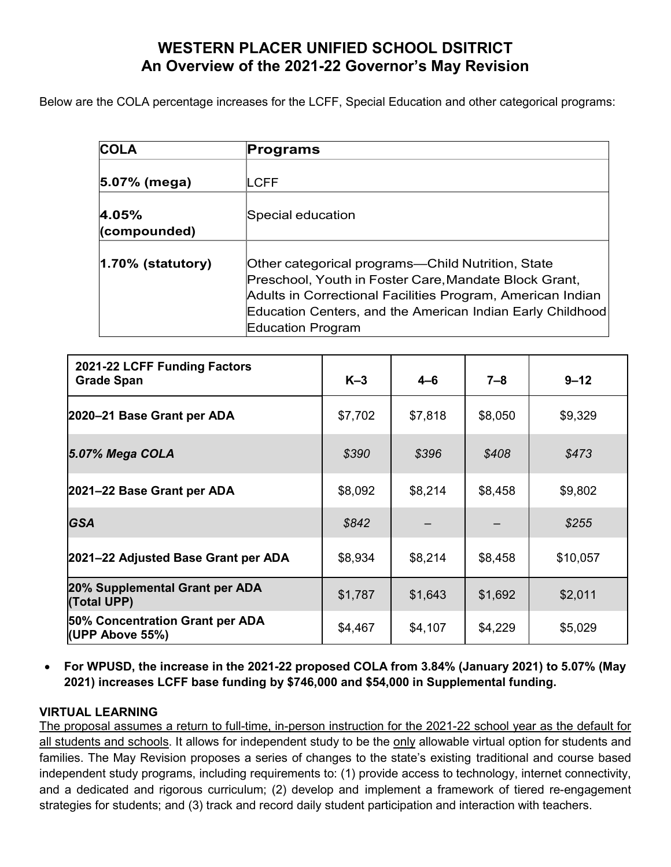Below are the COLA percentage increases for the LCFF, Special Education and other categorical programs:

| <b>COLA</b>           | Programs                                                                                                                                                                                                                                                    |  |  |  |  |
|-----------------------|-------------------------------------------------------------------------------------------------------------------------------------------------------------------------------------------------------------------------------------------------------------|--|--|--|--|
|                       |                                                                                                                                                                                                                                                             |  |  |  |  |
| 5.07% (mega)          | LCFF                                                                                                                                                                                                                                                        |  |  |  |  |
| 4.05%                 | Special education                                                                                                                                                                                                                                           |  |  |  |  |
| (compounded)          |                                                                                                                                                                                                                                                             |  |  |  |  |
| $ 1.70\%$ (statutory) | Other categorical programs—Child Nutrition, State<br>Preschool, Youth in Foster Care, Mandate Block Grant,<br>Adults in Correctional Facilities Program, American Indian<br>Education Centers, and the American Indian Early Childhood<br>Education Program |  |  |  |  |

| 2021-22 LCFF Funding Factors<br><b>Grade Span</b>  | $K-3$   | $4 - 6$ | 7–8     | $9 - 12$ |
|----------------------------------------------------|---------|---------|---------|----------|
| 2020-21 Base Grant per ADA                         | \$7,702 | \$7,818 | \$8,050 | \$9,329  |
| 5.07% Mega COLA                                    | \$390   | \$396   | \$408   | \$473    |
| 2021-22 Base Grant per ADA                         | \$8,092 | \$8,214 | \$8,458 | \$9,802  |
| <b>GSA</b>                                         | \$842   |         |         | \$255    |
| 2021–22 Adjusted Base Grant per ADA                | \$8,934 | \$8,214 | \$8,458 | \$10,057 |
| 20% Supplemental Grant per ADA<br>(Total UPP)      | \$1,787 | \$1,643 | \$1,692 | \$2,011  |
| 50% Concentration Grant per ADA<br>(UPP Above 55%) | \$4,467 | \$4,107 | \$4,229 | \$5,029  |

• **For WPUSD, the increase in the 2021-22 proposed COLA from 3.84% (January 2021) to 5.07% (May 2021) increases LCFF base funding by \$746,000 and \$54,000 in Supplemental funding.**

#### **VIRTUAL LEARNING**

The proposal assumes a return to full-time, in-person instruction for the 2021-22 school year as the default for all students and schools. It allows for independent study to be the only allowable virtual option for students and families. The May Revision proposes a series of changes to the state's existing traditional and course based independent study programs, including requirements to: (1) provide access to technology, internet connectivity, and a dedicated and rigorous curriculum; (2) develop and implement a framework of tiered re-engagement strategies for students; and (3) track and record daily student participation and interaction with teachers.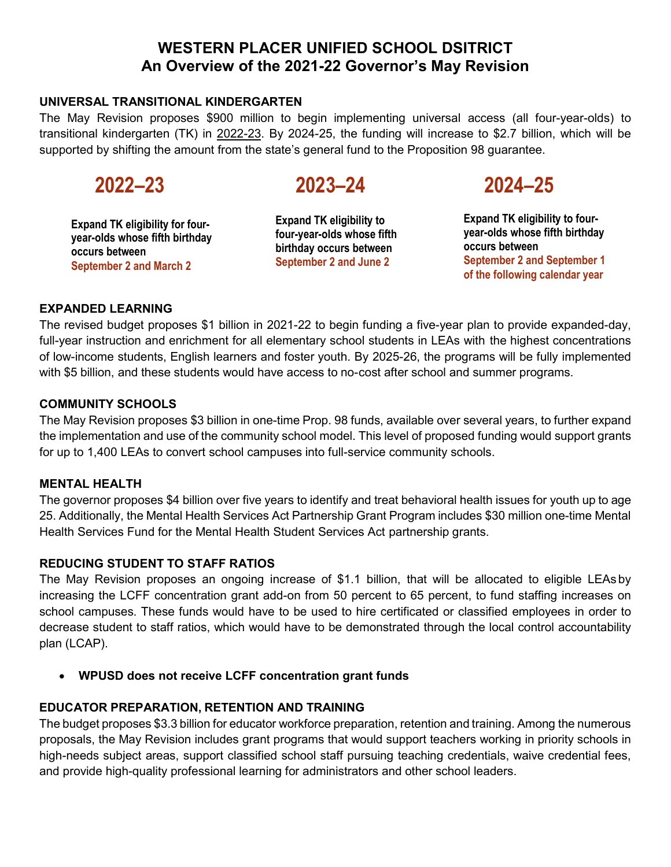#### **UNIVERSAL TRANSITIONAL KINDERGARTEN**

The May Revision proposes \$900 million to begin implementing universal access (all four-year-olds) to transitional kindergarten (TK) in 2022-23. By 2024-25, the funding will increase to \$2.7 billion, which will be supported by shifting the amount from the state's general fund to the Proposition 98 guarantee.

**Expand TK eligibility for fouryear-olds whose fifth birthday occurs between September 2 and March 2**

# **2022–23 2023–24 2024–25**

**Expand TK eligibility to four-year-olds whose fifth birthday occurs between September 2 and June 2**

**Expand TK eligibility to fouryear-olds whose fifth birthday occurs between September 2 and September 1 of the following calendar year**

#### **EXPANDED LEARNING**

The revised budget proposes \$1 billion in 2021-22 to begin funding a five-year plan to provide expanded-day, full-year instruction and enrichment for all elementary school students in LEAs with the highest concentrations of low-income students, English learners and foster youth. By 2025-26, the programs will be fully implemented with \$5 billion, and these students would have access to no-cost after school and summer programs.

#### **COMMUNITY SCHOOLS**

The May Revision proposes \$3 billion in one-time Prop. 98 funds, available over several years, to further expand the implementation and use of the community school model. This level of proposed funding would support grants for up to 1,400 LEAs to convert school campuses into full-service community schools.

#### **MENTAL HEALTH**

The governor proposes \$4 billion over five years to identify and treat behavioral health issues for youth up to age 25. Additionally, the Mental Health Services Act Partnership Grant Program includes \$30 million one-time Mental Health Services Fund for the Mental Health Student Services Act partnership grants.

#### **REDUCING STUDENT TO STAFF RATIOS**

The May Revision proposes an ongoing increase of \$1.1 billion, that will be allocated to eligible LEAs by increasing the LCFF concentration grant add-on from 50 percent to 65 percent, to fund staffing increases on school campuses. These funds would have to be used to hire certificated or classified employees in order to decrease student to staff ratios, which would have to be demonstrated through the local control accountability plan (LCAP).

• **WPUSD does not receive LCFF concentration grant funds**

#### **EDUCATOR PREPARATION, RETENTION AND TRAINING**

The budget proposes \$3.3 billion for educator workforce preparation, retention and training. Among the numerous proposals, the May Revision includes grant programs that would support teachers working in priority schools in high-needs subject areas, support classified school staff pursuing teaching credentials, waive credential fees, and provide high-quality professional learning for administrators and other school leaders.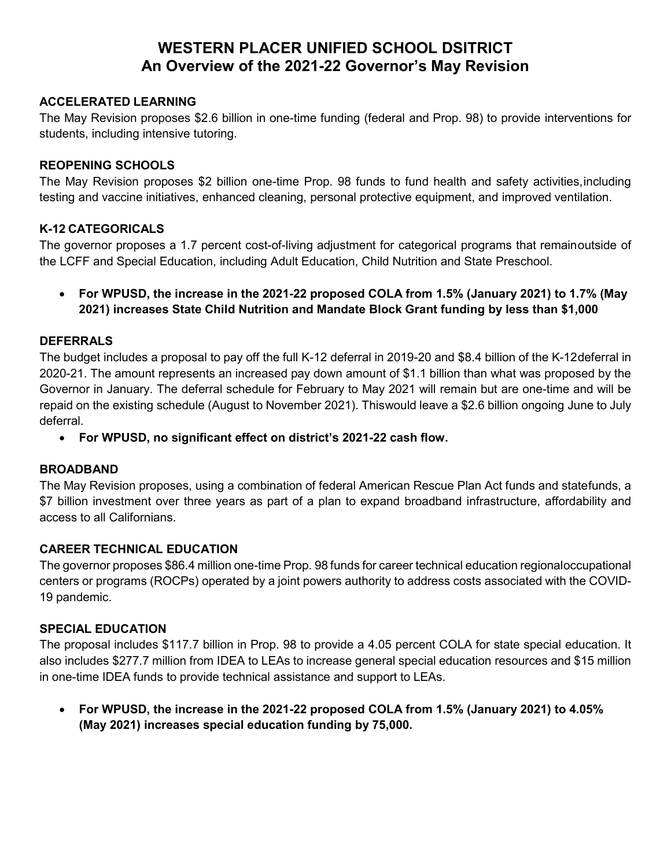#### **ACCELERATED LEARNING**

The May Revision proposes \$2.6 billion in one-time funding (federal and Prop. 98) to provide interventions for students, including intensive tutoring.

#### **REOPENING SCHOOLS**

The May Revision proposes \$2 billion one-time Prop. 98 funds to fund health and safety activities,including testing and vaccine initiatives, enhanced cleaning, personal protective equipment, and improved ventilation.

#### **K-12 CATEGORICALS**

The governor proposes a 1.7 percent cost-of-living adjustment for categorical programs that remainoutside of the LCFF and Special Education, including Adult Education, Child Nutrition and State Preschool.

• **For WPUSD, the increase in the 2021-22 proposed COLA from 1.5% (January 2021) to 1.7% (May 2021) increases State Child Nutrition and Mandate Block Grant funding by less than \$1,000**

#### **DEFERRALS**

The budget includes a proposal to pay off the full K-12 deferral in 2019-20 and \$8.4 billion of the K-12deferral in 2020-21. The amount represents an increased pay down amount of \$1.1 billion than what was proposed by the Governor in January. The deferral schedule for February to May 2021 will remain but are one-time and will be repaid on the existing schedule (August to November 2021). Thiswould leave a \$2.6 billion ongoing June to July deferral.

• **For WPUSD, no significant effect on district's 2021-22 cash flow.**

#### **BROADBAND**

The May Revision proposes, using a combination of federal American Rescue Plan Act funds and statefunds, a \$7 billion investment over three years as part of a plan to expand broadband infrastructure, affordability and access to all Californians.

#### **CAREER TECHNICAL EDUCATION**

The governor proposes \$86.4 million one-time Prop. 98 funds for career technical education regionaloccupational centers or programs (ROCPs) operated by a joint powers authority to address costs associated with the COVID-19 pandemic.

#### **SPECIAL EDUCATION**

The proposal includes \$117.7 billion in Prop. 98 to provide a 4.05 percent COLA for state special education. It also includes \$277.7 million from IDEA to LEAs to increase general special education resources and \$15 million in one-time IDEA funds to provide technical assistance and support to LEAs.

• **For WPUSD, the increase in the 2021-22 proposed COLA from 1.5% (January 2021) to 4.05% (May 2021) increases special education funding by 75,000.**